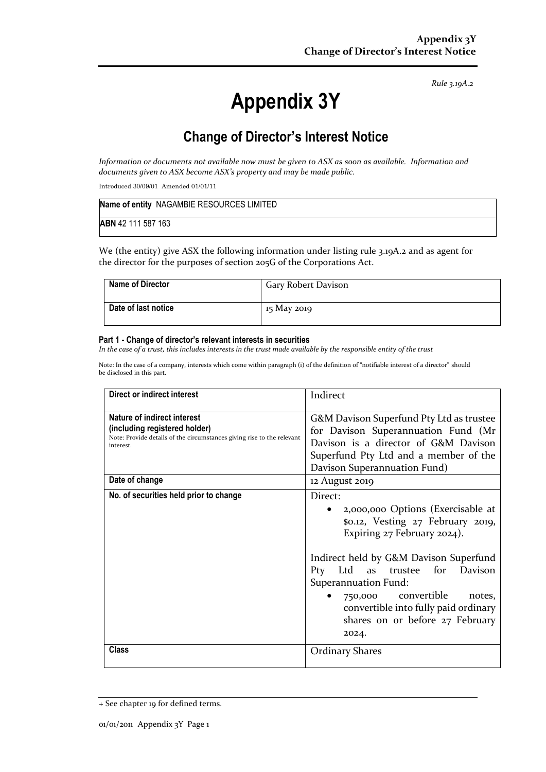*Rule 3.19A.2*

# **Appendix 3Y**

# **Change of Director's Interest Notice**

*Information or documents not available now must be given to ASX as soon as available. Information and documents given to ASX become ASX's property and may be made public.*

Introduced 30/09/01 Amended 01/01/11

| Name of entity NAGAMBIE RESOURCES LIMITED |  |
|-------------------------------------------|--|
| ABN 42 111 587 163                        |  |

We (the entity) give ASX the following information under listing rule 3.19A.2 and as agent for the director for the purposes of section 205G of the Corporations Act.

| <b>Name of Director</b> | Gary Robert Davison |
|-------------------------|---------------------|
| Date of last notice     | 15 May 2019         |

#### **Part 1 - Change of director's relevant interests in securities**

*In the case of a trust, this includes interests in the trust made available by the responsible entity of the trust*

Note: In the case of a company, interests which come within paragraph (i) of the definition of "notifiable interest of a director" should be disclosed in this part.

| Direct or indirect interest                                                                                                                         | Indirect                                                                                                                                                                                                                                                                                                                                              |
|-----------------------------------------------------------------------------------------------------------------------------------------------------|-------------------------------------------------------------------------------------------------------------------------------------------------------------------------------------------------------------------------------------------------------------------------------------------------------------------------------------------------------|
| Nature of indirect interest<br>(including registered holder)<br>Note: Provide details of the circumstances giving rise to the relevant<br>interest. | G&M Davison Superfund Pty Ltd as trustee<br>for Davison Superannuation Fund (Mr<br>Davison is a director of G&M Davison<br>Superfund Pty Ltd and a member of the<br>Davison Superannuation Fund)                                                                                                                                                      |
| Date of change                                                                                                                                      | 12 August 2019                                                                                                                                                                                                                                                                                                                                        |
| No. of securities held prior to change                                                                                                              | Direct:<br>2,000,000 Options (Exercisable at<br>\$0.12, Vesting 27 February 2019,<br>Expiring 27 February 2024).<br>Indirect held by G&M Davison Superfund<br>Pty Ltd<br>as<br>for<br>Davison<br>trustee<br>Superannuation Fund:<br>750,000 convertible<br>notes.<br>convertible into fully paid ordinary<br>shares on or before 27 February<br>2024. |
| Class                                                                                                                                               | <b>Ordinary Shares</b>                                                                                                                                                                                                                                                                                                                                |

<sup>+</sup> See chapter 19 for defined terms.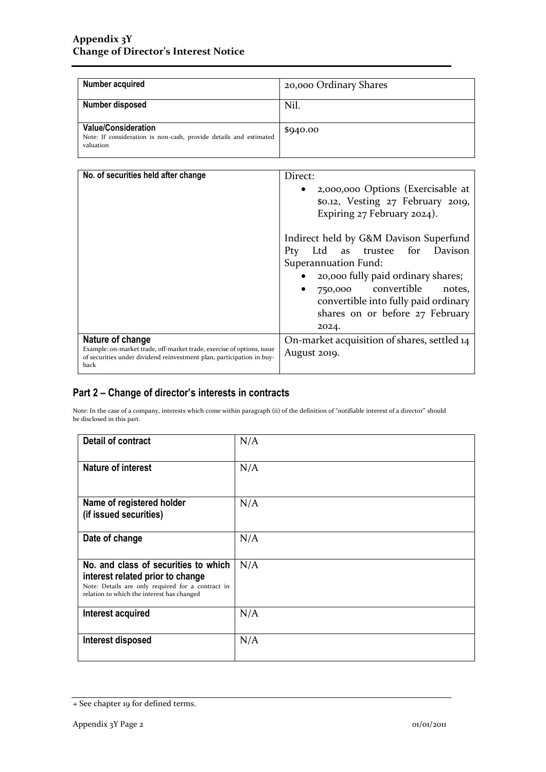| Number acquired                                                                                              | 20,000 Ordinary Shares |
|--------------------------------------------------------------------------------------------------------------|------------------------|
| Number disposed                                                                                              | Nil.                   |
| <b>Value/Consideration</b><br>Note: If consideration is non-cash, provide details and estimated<br>valuation | \$940.00               |

| No. of securities held after change                                                                                                                                         | Direct:<br>2,000,000 Options (Exercisable at<br>$\bullet$<br>\$0.12, Vesting 27 February 2019,<br>Expiring 27 February 2024).                                                                                                                                                         |
|-----------------------------------------------------------------------------------------------------------------------------------------------------------------------------|---------------------------------------------------------------------------------------------------------------------------------------------------------------------------------------------------------------------------------------------------------------------------------------|
|                                                                                                                                                                             | Indirect held by G&M Davison Superfund<br>Ltd as trustee for Davison<br>Pty<br>Superannuation Fund:<br>20,000 fully paid ordinary shares;<br>$\bullet$<br>750,000 convertible notes,<br>$\bullet$<br>convertible into fully paid ordinary<br>shares on or before 27 February<br>2024. |
| Nature of change<br>Example: on-market trade, off-market trade, exercise of options, issue<br>of securities under dividend reinvestment plan, participation in buy-<br>back | On-market acquisition of shares, settled 14<br>August 2019.                                                                                                                                                                                                                           |

## **Part 2 – Change of director's interests in contracts**

Note: In the case of a company, interests which come within paragraph (ii) of the definition of "notifiable interest of a director" should be disclosed in this part.

| Detail of contract                                                                                                                                                          | N/A |
|-----------------------------------------------------------------------------------------------------------------------------------------------------------------------------|-----|
| <b>Nature of interest</b>                                                                                                                                                   | N/A |
| Name of registered holder<br>(if issued securities)                                                                                                                         | N/A |
| Date of change                                                                                                                                                              | N/A |
| No. and class of securities to which<br>interest related prior to change<br>Note: Details are only required for a contract in<br>relation to which the interest has changed | N/A |
| Interest acquired                                                                                                                                                           | N/A |
| Interest disposed                                                                                                                                                           | N/A |

<sup>+</sup> See chapter 19 for defined terms.